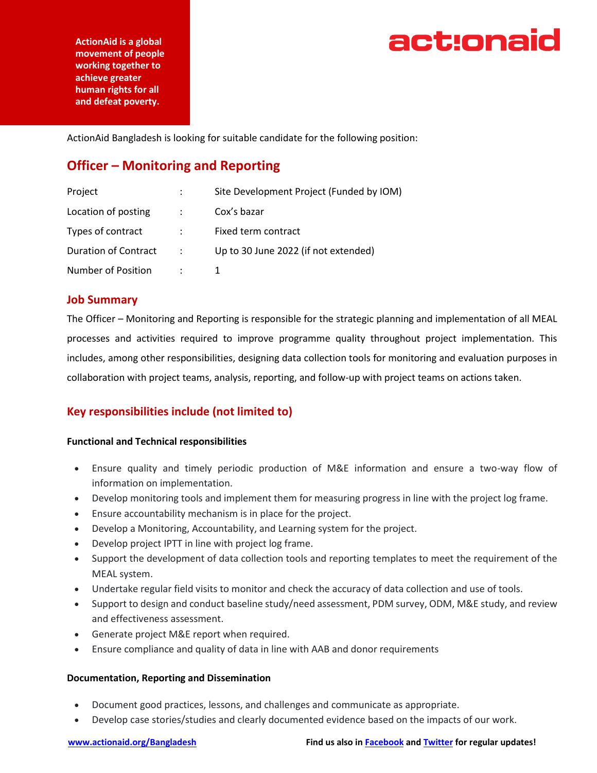

**ActionAid is a global movement of people working together to achieve greater human rights for all and defeat poverty.**

ActionAid Bangladesh is looking for suitable candidate for the following position:

# **Officer – Monitoring and Reporting**

| Project                     |                      | Site Development Project (Funded by IOM) |
|-----------------------------|----------------------|------------------------------------------|
| Location of posting         | $\mathcal{L}$        | Cox's bazar                              |
| Types of contract           |                      | Fixed term contract                      |
| <b>Duration of Contract</b> | $\ddot{\phantom{0}}$ | Up to 30 June 2022 (if not extended)     |
| <b>Number of Position</b>   |                      |                                          |

### **Job Summary**

The Officer – Monitoring and Reporting is responsible for the strategic planning and implementation of all MEAL processes and activities required to improve programme quality throughout project implementation. This includes, among other responsibilities, designing data collection tools for monitoring and evaluation purposes in collaboration with project teams, analysis, reporting, and follow-up with project teams on actions taken.

# **Key responsibilities include (not limited to)**

### **Functional and Technical responsibilities**

- Ensure quality and timely periodic production of M&E information and ensure a two-way flow of information on implementation.
- Develop monitoring tools and implement them for measuring progress in line with the project log frame.
- Ensure accountability mechanism is in place for the project.
- Develop a Monitoring, Accountability, and Learning system for the project.
- Develop project IPTT in line with project log frame.
- Support the development of data collection tools and reporting templates to meet the requirement of the MEAL system.
- Undertake regular field visits to monitor and check the accuracy of data collection and use of tools.
- Support to design and conduct baseline study/need assessment, PDM survey, ODM, M&E study, and review and effectiveness assessment.
- Generate project M&E report when required.
- Ensure compliance and quality of data in line with AAB and donor requirements

### **Documentation, Reporting and Dissemination**

- Document good practices, lessons, and challenges and communicate as appropriate.
- Develop case stories/studies and clearly documented evidence based on the impacts of our work.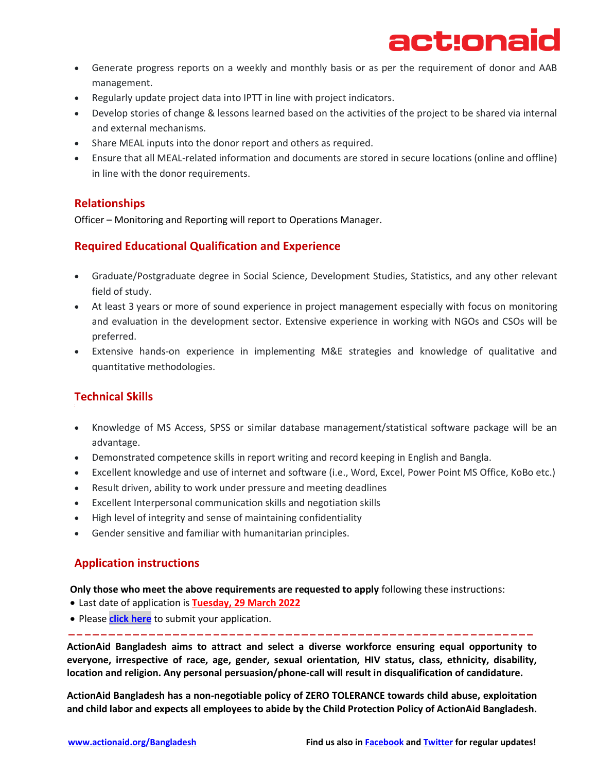# act:ona

- Generate progress reports on a weekly and monthly basis or as per the requirement of donor and AAB management.
- Regularly update project data into IPTT in line with project indicators.
- Develop stories of change & lessons learned based on the activities of the project to be shared via internal and external mechanisms.
- Share MEAL inputs into the donor report and others as required.
- Ensure that all MEAL-related information and documents are stored in secure locations (online and offline) in line with the donor requirements.

## **Relationships**

Officer – Monitoring and Reporting will report to Operations Manager.

### **Required Educational Qualification and Experience**

- Graduate/Postgraduate degree in Social Science, Development Studies, Statistics, and any other relevant field of study.
- At least 3 years or more of sound experience in project management especially with focus on monitoring and evaluation in the development sector. Extensive experience in working with NGOs and CSOs will be preferred.
- Extensive hands-on experience in implementing M&E strategies and knowledge of qualitative and quantitative methodologies.

## **Technical Skills**

- Knowledge of MS Access, SPSS or similar database management/statistical software package will be an advantage.
- Demonstrated competence skills in report writing and record keeping in English and Bangla.
- Excellent knowledge and use of internet and software (i.e., Word, Excel, Power Point MS Office, KoBo etc.)
- Result driven, ability to work under pressure and meeting deadlines
- Excellent Interpersonal communication skills and negotiation skills
- High level of integrity and sense of maintaining confidentiality
- Gender sensitive and familiar with humanitarian principles.

## **Application instructions**

**Only those who meet the above requirements are requested to apply** following these instructions:

- Last date of application is **Tuesday, 29 March 2022**
- Please **[click here](http://jobs.actionaidbd.org/login)** to submit your application.

**ActionAid Bangladesh aims to attract and select a diverse workforce ensuring equal opportunity to everyone, irrespective of race, age, gender, sexual orientation, HIV status, class, ethnicity, disability,** 

**location and religion. Any personal persuasion/phone-call will result in disqualification of candidature.**

**ActionAid Bangladesh has a non-negotiable policy of ZERO TOLERANCE towards child abuse, exploitation and child labor and expects all employees to abide by the Child Protection Policy of ActionAid Bangladesh.**